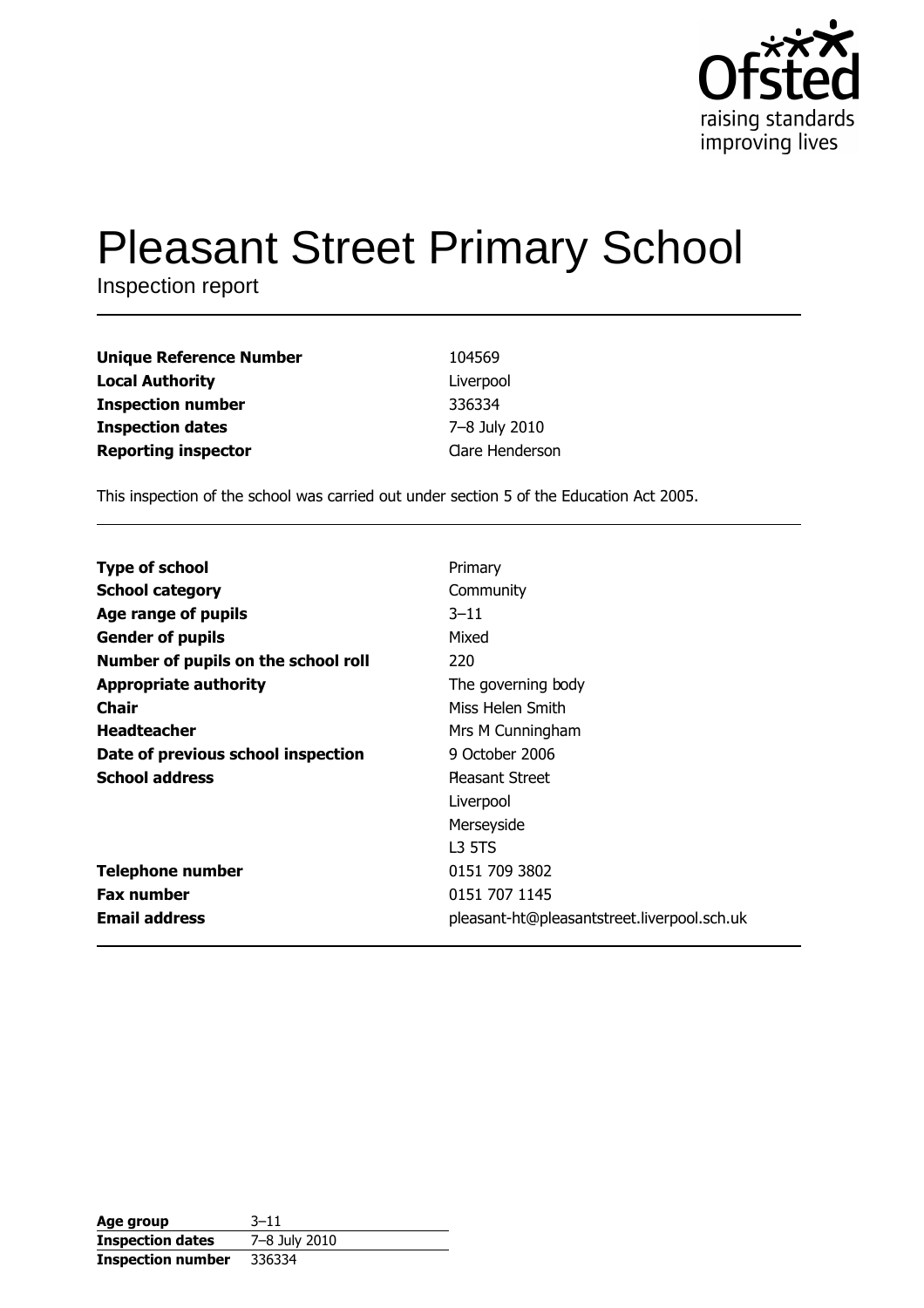

# **Pleasant Street Primary School**

Inspection report

| <b>Unique Reference Number</b> | 104569          |
|--------------------------------|-----------------|
| <b>Local Authority</b>         | Liverpool       |
| <b>Inspection number</b>       | 336334          |
| <b>Inspection dates</b>        | 7-8 July 2010   |
| <b>Reporting inspector</b>     | Clare Henderson |

This inspection of the school was carried out under section 5 of the Education Act 2005.

| <b>Type of school</b>               | Primary                                     |
|-------------------------------------|---------------------------------------------|
| <b>School category</b>              | Community                                   |
| Age range of pupils                 | $3 - 11$                                    |
| <b>Gender of pupils</b>             | Mixed                                       |
| Number of pupils on the school roll | 220                                         |
| <b>Appropriate authority</b>        | The governing body                          |
| Chair                               | Miss Helen Smith                            |
| <b>Headteacher</b>                  | Mrs M Cunningham                            |
| Date of previous school inspection  | 9 October 2006                              |
| <b>School address</b>               | <b>Pleasant Street</b>                      |
|                                     | Liverpool                                   |
|                                     | Merseyside                                  |
|                                     | L3 5TS                                      |
| <b>Telephone number</b>             | 0151 709 3802                               |
| <b>Fax number</b>                   | 0151 707 1145                               |
| <b>Email address</b>                | pleasant-ht@pleasantstreet.liverpool.sch.uk |

| Age group                | $3 - 11$      |
|--------------------------|---------------|
| <b>Inspection dates</b>  | 7-8 July 2010 |
| <b>Inspection number</b> | 336334        |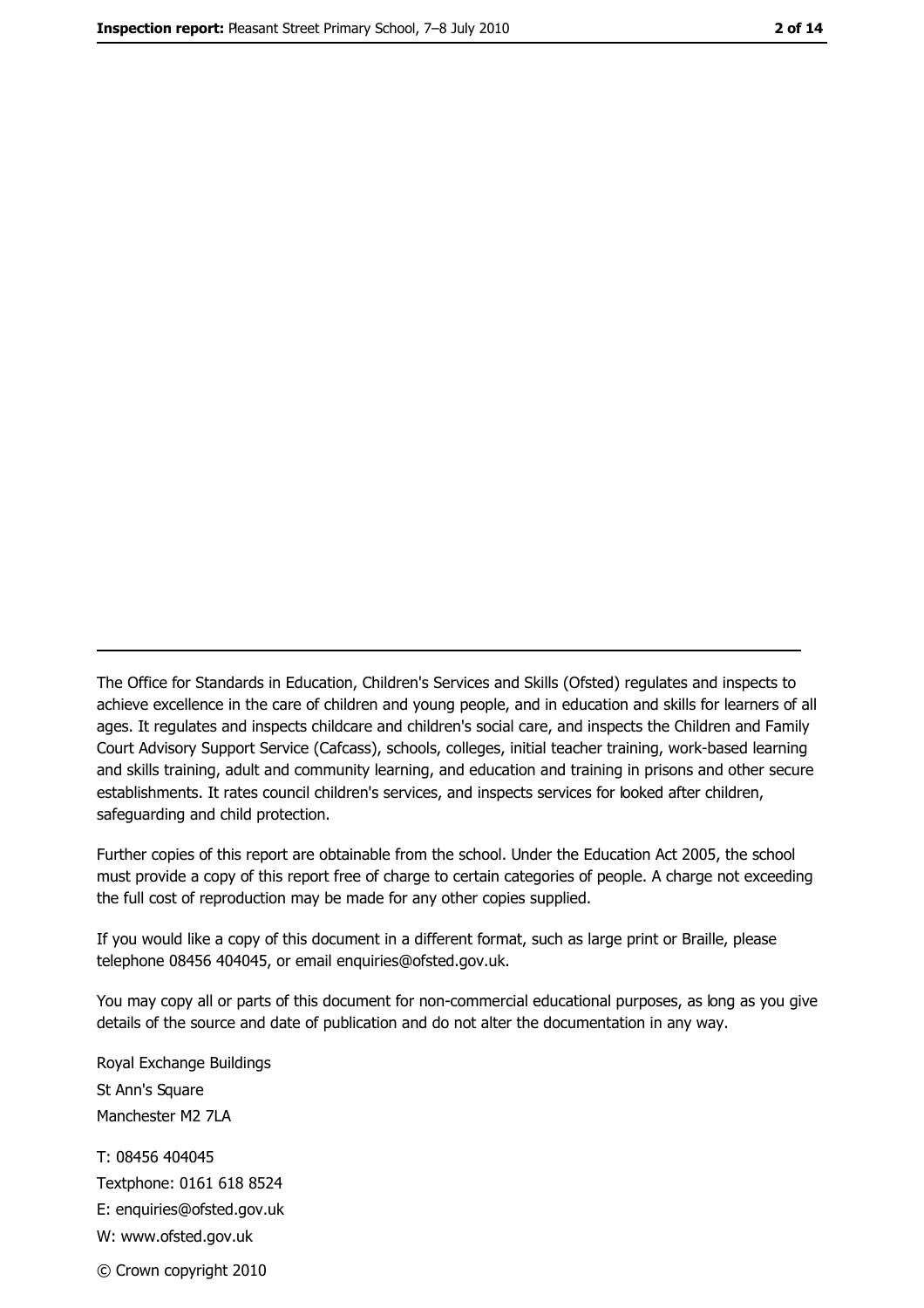The Office for Standards in Education, Children's Services and Skills (Ofsted) regulates and inspects to achieve excellence in the care of children and young people, and in education and skills for learners of all ages. It regulates and inspects childcare and children's social care, and inspects the Children and Family Court Advisory Support Service (Cafcass), schools, colleges, initial teacher training, work-based learning and skills training, adult and community learning, and education and training in prisons and other secure establishments. It rates council children's services, and inspects services for looked after children, safequarding and child protection.

Further copies of this report are obtainable from the school. Under the Education Act 2005, the school must provide a copy of this report free of charge to certain categories of people. A charge not exceeding the full cost of reproduction may be made for any other copies supplied.

If you would like a copy of this document in a different format, such as large print or Braille, please telephone 08456 404045, or email enquiries@ofsted.gov.uk.

You may copy all or parts of this document for non-commercial educational purposes, as long as you give details of the source and date of publication and do not alter the documentation in any way.

Royal Exchange Buildings St Ann's Square Manchester M2 7LA T: 08456 404045 Textphone: 0161 618 8524 E: enquiries@ofsted.gov.uk W: www.ofsted.gov.uk © Crown copyright 2010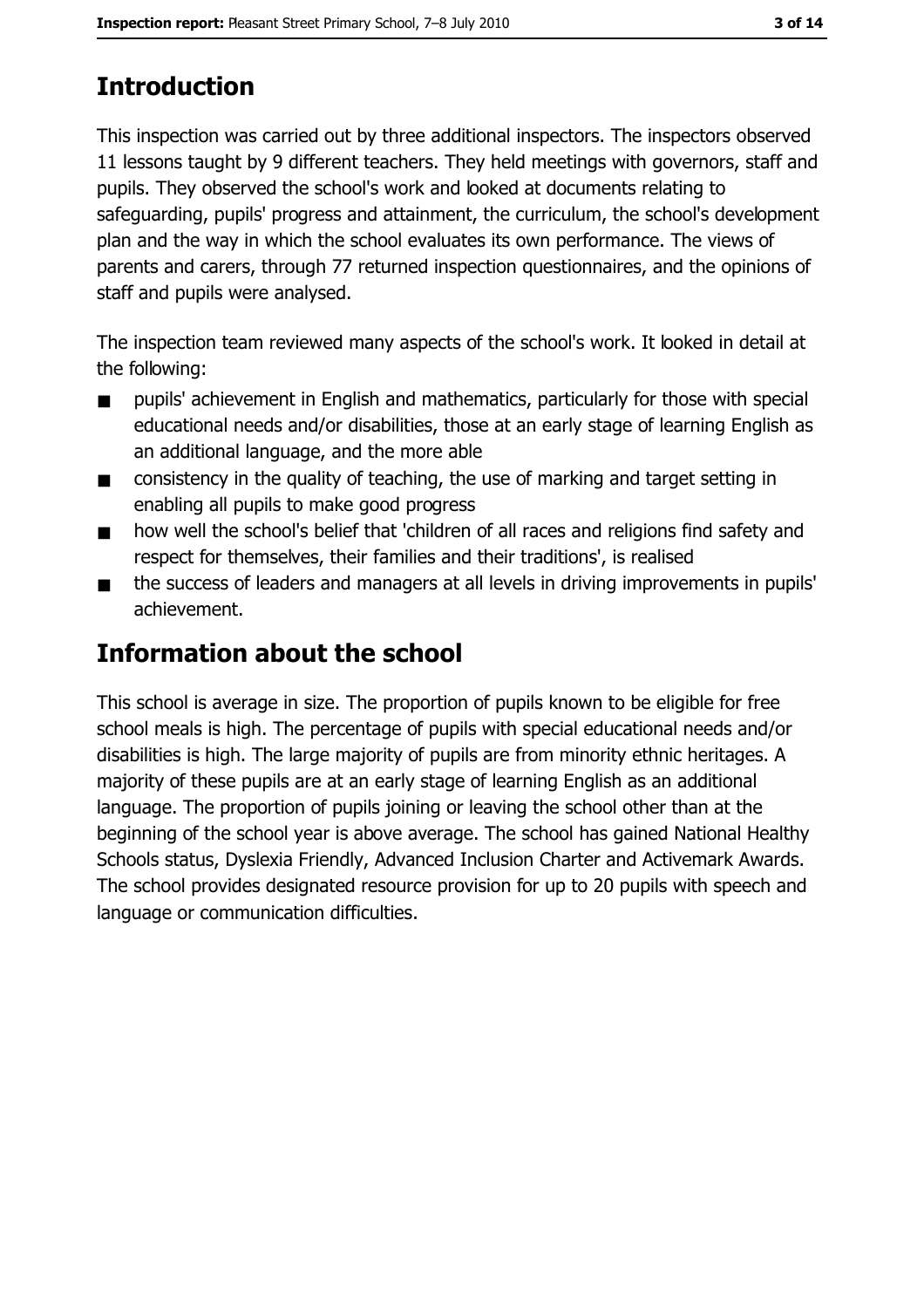# **Introduction**

This inspection was carried out by three additional inspectors. The inspectors observed 11 lessons taught by 9 different teachers. They held meetings with governors, staff and pupils. They observed the school's work and looked at documents relating to safeguarding, pupils' progress and attainment, the curriculum, the school's development plan and the way in which the school evaluates its own performance. The views of parents and carers, through 77 returned inspection questionnaires, and the opinions of staff and pupils were analysed.

The inspection team reviewed many aspects of the school's work. It looked in detail at the following:

- pupils' achievement in English and mathematics, particularly for those with special  $\blacksquare$ educational needs and/or disabilities, those at an early stage of learning English as an additional language, and the more able
- consistency in the quality of teaching, the use of marking and target setting in  $\blacksquare$ enabling all pupils to make good progress
- how well the school's belief that 'children of all races and religions find safety and  $\blacksquare$ respect for themselves, their families and their traditions', is realised
- the success of leaders and managers at all levels in driving improvements in pupils'  $\blacksquare$ achievement.

# **Information about the school**

This school is average in size. The proportion of pupils known to be eligible for free school meals is high. The percentage of pupils with special educational needs and/or disabilities is high. The large majority of pupils are from minority ethnic heritages. A majority of these pupils are at an early stage of learning English as an additional language. The proportion of pupils joining or leaving the school other than at the beginning of the school year is above average. The school has gained National Healthy Schools status, Dyslexia Friendly, Advanced Inclusion Charter and Activemark Awards. The school provides designated resource provision for up to 20 pupils with speech and language or communication difficulties.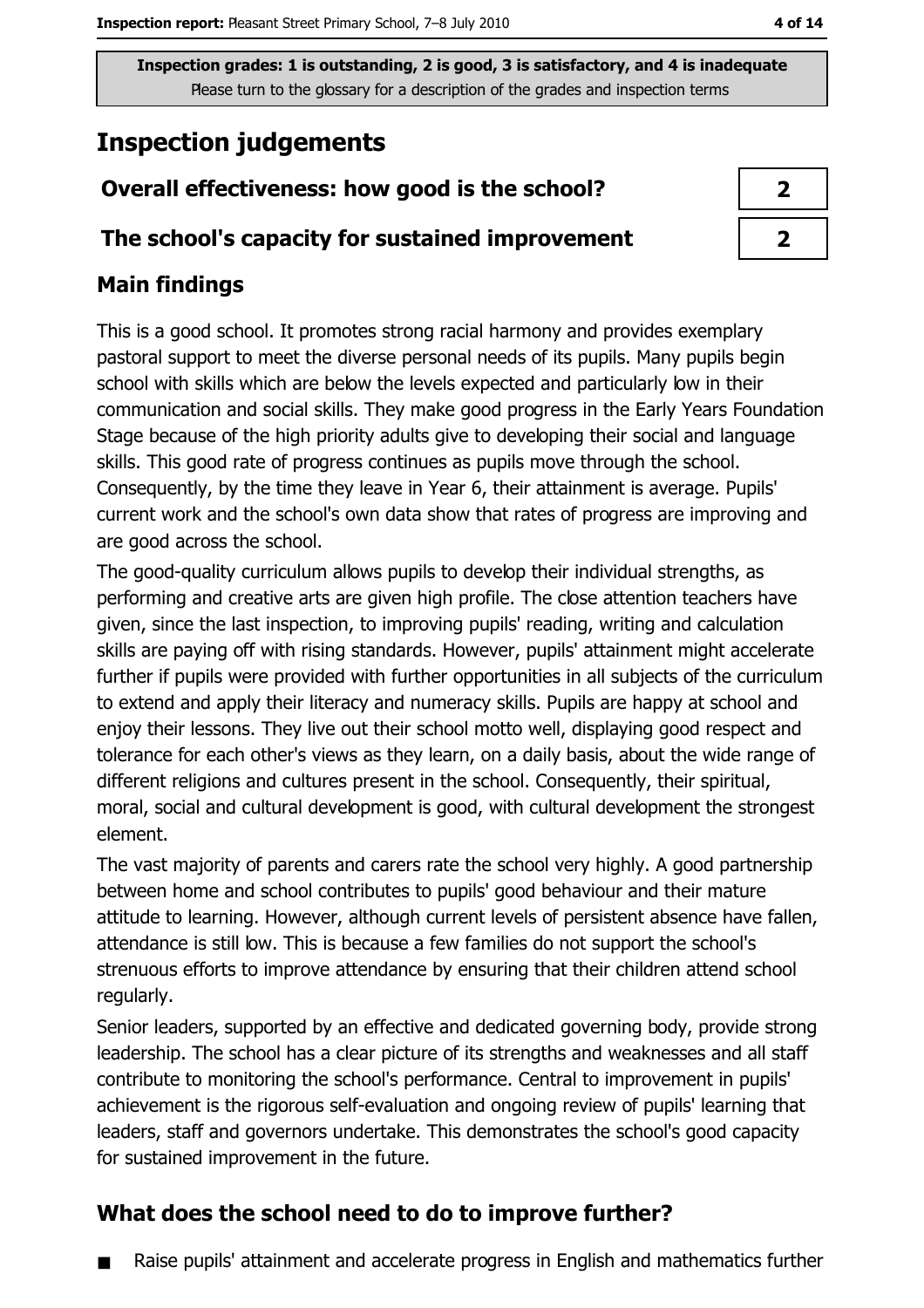# **Inspection judgements**

## Overall effectiveness: how good is the school?

#### The school's capacity for sustained improvement

## **Main findings**

This is a good school. It promotes strong racial harmony and provides exemplary pastoral support to meet the diverse personal needs of its pupils. Many pupils begin school with skills which are below the levels expected and particularly low in their communication and social skills. They make good progress in the Early Years Foundation Stage because of the high priority adults give to developing their social and language skills. This good rate of progress continues as pupils move through the school. Consequently, by the time they leave in Year 6, their attainment is average. Pupils' current work and the school's own data show that rates of progress are improving and are good across the school.

The good-quality curriculum allows pupils to develop their individual strengths, as performing and creative arts are given high profile. The close attention teachers have given, since the last inspection, to improving pupils' reading, writing and calculation skills are paying off with rising standards. However, pupils' attainment might accelerate further if pupils were provided with further opportunities in all subjects of the curriculum to extend and apply their literacy and numeracy skills. Pupils are happy at school and enjoy their lessons. They live out their school motto well, displaying good respect and tolerance for each other's views as they learn, on a daily basis, about the wide range of different religions and cultures present in the school. Consequently, their spiritual, moral, social and cultural development is good, with cultural development the strongest element.

The vast majority of parents and carers rate the school very highly. A good partnership between home and school contributes to pupils' good behaviour and their mature attitude to learning. However, although current levels of persistent absence have fallen, attendance is still low. This is because a few families do not support the school's strenuous efforts to improve attendance by ensuring that their children attend school regularly.

Senior leaders, supported by an effective and dedicated governing body, provide strong leadership. The school has a clear picture of its strengths and weaknesses and all staff contribute to monitoring the school's performance. Central to improvement in pupils' achievement is the rigorous self-evaluation and ongoing review of pupils' learning that leaders, staff and governors undertake. This demonstrates the school's good capacity for sustained improvement in the future.

### What does the school need to do to improve further?

Raise pupils' attainment and accelerate progress in English and mathematics further

| 2 |  |
|---|--|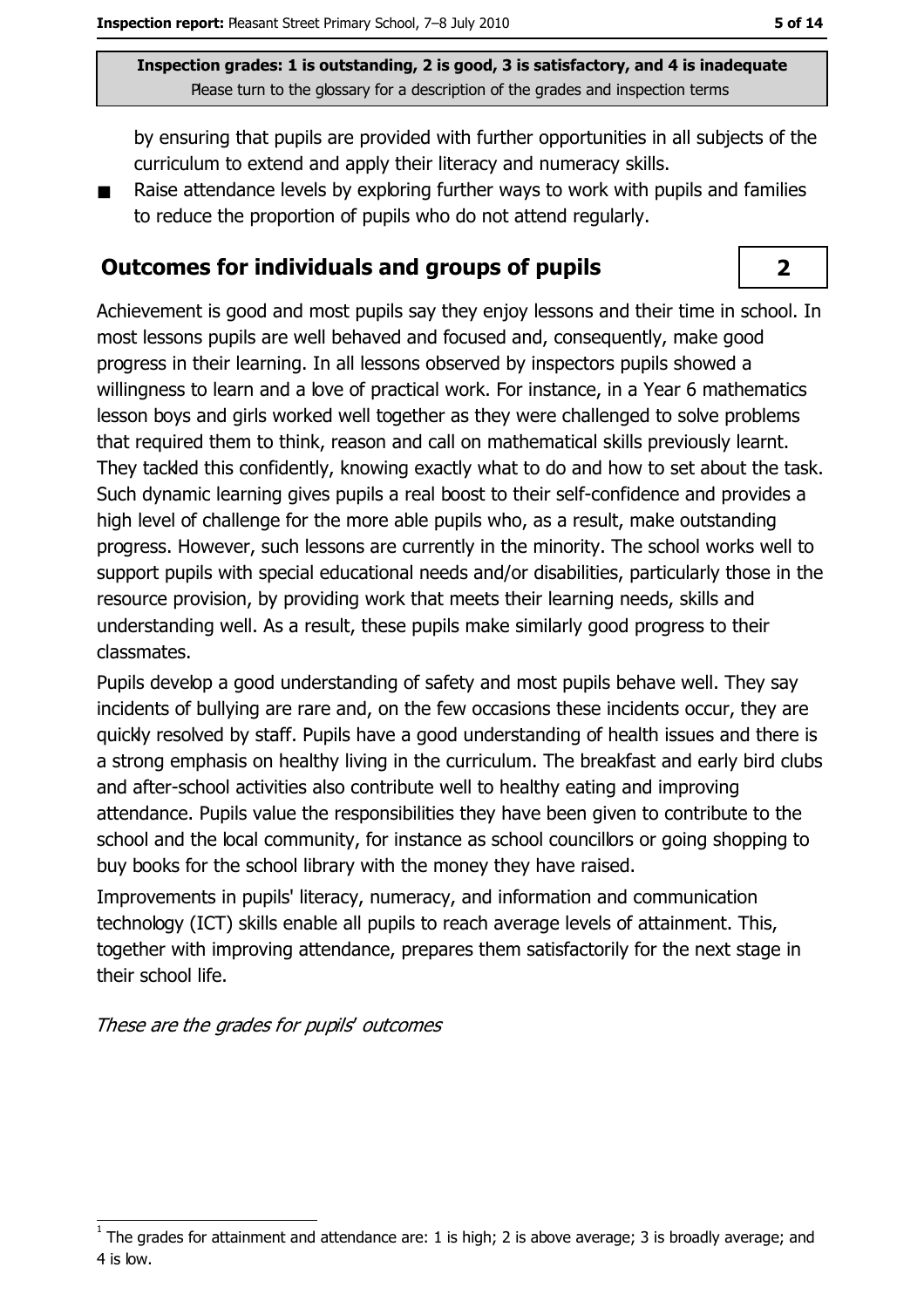by ensuring that pupils are provided with further opportunities in all subjects of the curriculum to extend and apply their literacy and numeracy skills.

Raise attendance levels by exploring further ways to work with pupils and families  $\blacksquare$ to reduce the proportion of pupils who do not attend regularly.

#### **Outcomes for individuals and groups of pupils**

Achievement is good and most pupils say they enjoy lessons and their time in school. In most lessons pupils are well behaved and focused and, consequently, make good progress in their learning. In all lessons observed by inspectors pupils showed a willingness to learn and a love of practical work. For instance, in a Year 6 mathematics lesson boys and girls worked well together as they were challenged to solve problems that required them to think, reason and call on mathematical skills previously learnt. They tacked this confidently, knowing exactly what to do and how to set about the task. Such dynamic learning gives pupils a real boost to their self-confidence and provides a high level of challenge for the more able pupils who, as a result, make outstanding progress. However, such lessons are currently in the minority. The school works well to support pupils with special educational needs and/or disabilities, particularly those in the resource provision, by providing work that meets their learning needs, skills and understanding well. As a result, these pupils make similarly good progress to their classmates.

Pupils develop a good understanding of safety and most pupils behave well. They say incidents of bullying are rare and, on the few occasions these incidents occur, they are guickly resolved by staff. Pupils have a good understanding of health issues and there is a strong emphasis on healthy living in the curriculum. The breakfast and early bird clubs and after-school activities also contribute well to healthy eating and improving attendance. Pupils value the responsibilities they have been given to contribute to the school and the local community, for instance as school councillors or going shopping to buy books for the school library with the money they have raised.

Improvements in pupils' literacy, numeracy, and information and communication technology (ICT) skills enable all pupils to reach average levels of attainment. This, together with improving attendance, prepares them satisfactorily for the next stage in their school life.

These are the grades for pupils' outcomes

 $\overline{2}$ 

The grades for attainment and attendance are: 1 is high; 2 is above average; 3 is broadly average; and 4 is low.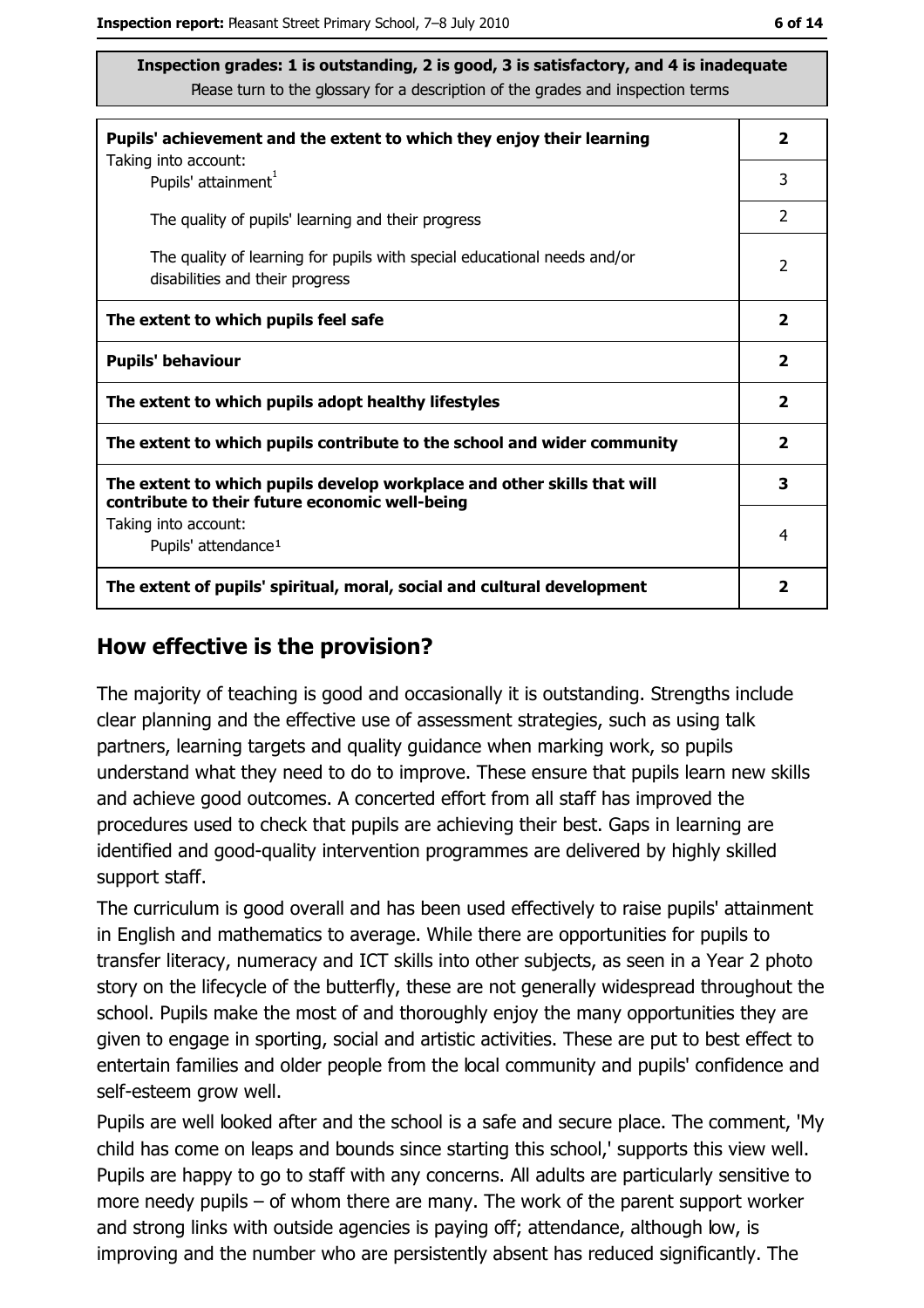| Pupils' achievement and the extent to which they enjoy their learning                                                     |                         |  |
|---------------------------------------------------------------------------------------------------------------------------|-------------------------|--|
| Taking into account:<br>Pupils' attainment <sup>1</sup>                                                                   | 3                       |  |
| The quality of pupils' learning and their progress                                                                        | $\mathcal{P}$           |  |
| The quality of learning for pupils with special educational needs and/or<br>disabilities and their progress               | $\overline{2}$          |  |
| The extent to which pupils feel safe                                                                                      | $\overline{\mathbf{2}}$ |  |
| <b>Pupils' behaviour</b>                                                                                                  | $\overline{\mathbf{2}}$ |  |
| The extent to which pupils adopt healthy lifestyles                                                                       | $\overline{\mathbf{2}}$ |  |
| The extent to which pupils contribute to the school and wider community                                                   |                         |  |
| The extent to which pupils develop workplace and other skills that will<br>contribute to their future economic well-being | 3                       |  |
| Taking into account:<br>Pupils' attendance <sup>1</sup>                                                                   | 4                       |  |
| The extent of pupils' spiritual, moral, social and cultural development                                                   |                         |  |

#### How effective is the provision?

The majority of teaching is good and occasionally it is outstanding. Strengths include clear planning and the effective use of assessment strategies, such as using talk partners, learning targets and quality guidance when marking work, so pupils understand what they need to do to improve. These ensure that pupils learn new skills and achieve good outcomes. A concerted effort from all staff has improved the procedures used to check that pupils are achieving their best. Gaps in learning are identified and good-quality intervention programmes are delivered by highly skilled support staff.

The curriculum is good overall and has been used effectively to raise pupils' attainment in English and mathematics to average. While there are opportunities for pupils to transfer literacy, numeracy and ICT skills into other subjects, as seen in a Year 2 photo story on the lifecycle of the butterfly, these are not generally widespread throughout the school. Pupils make the most of and thoroughly enjoy the many opportunities they are given to engage in sporting, social and artistic activities. These are put to best effect to entertain families and older people from the local community and pupils' confidence and self-esteem grow well.

Pupils are well looked after and the school is a safe and secure place. The comment, 'My child has come on leaps and bounds since starting this school,' supports this view well. Pupils are happy to go to staff with any concerns. All adults are particularly sensitive to more needy pupils  $-$  of whom there are many. The work of the parent support worker and strong links with outside agencies is paying off; attendance, although low, is improving and the number who are persistently absent has reduced significantly. The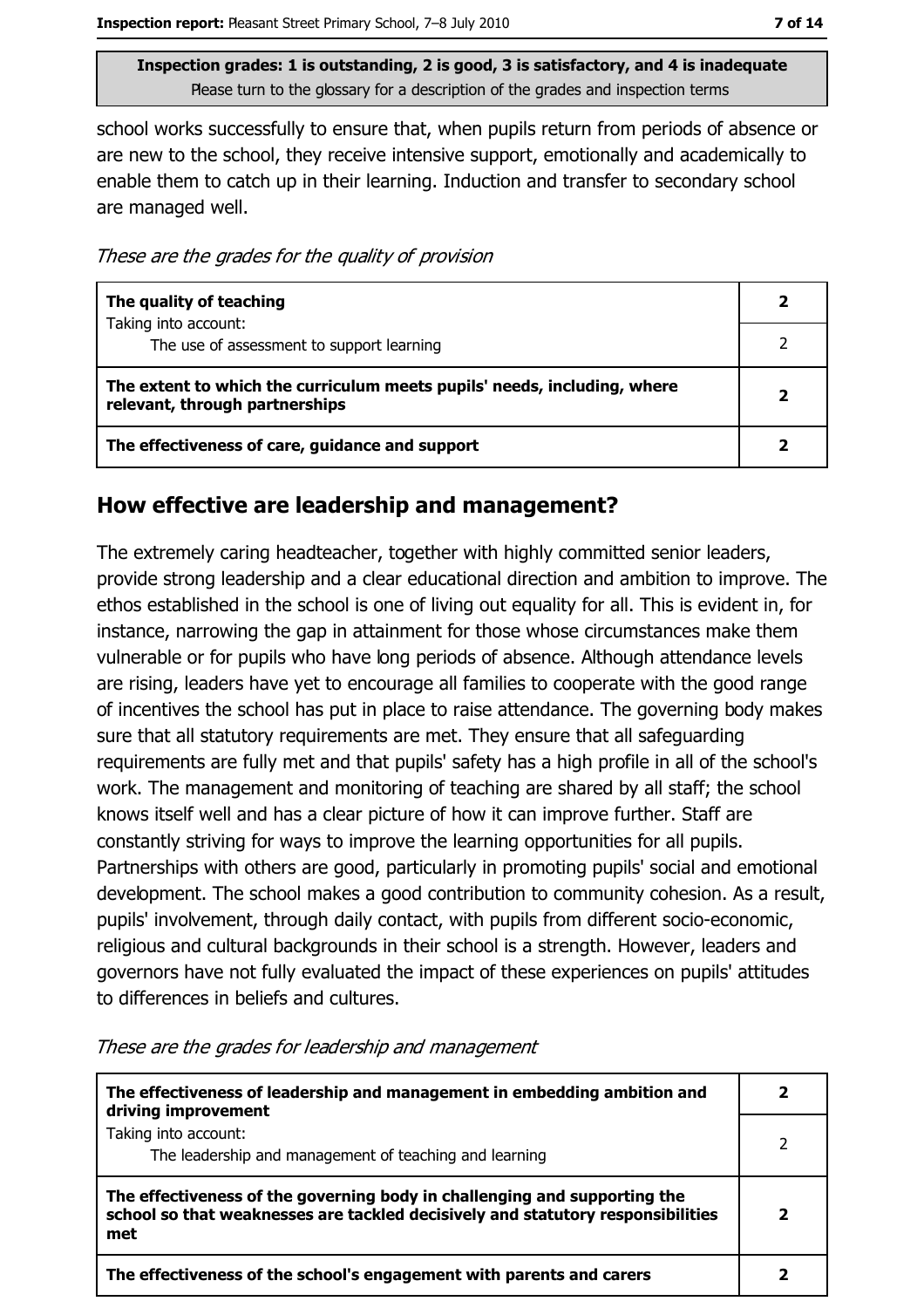school works successfully to ensure that, when pupils return from periods of absence or are new to the school, they receive intensive support, emotionally and academically to enable them to catch up in their learning. Induction and transfer to secondary school are managed well.

These are the grades for the quality of provision

| The quality of teaching                                                                                    |   |
|------------------------------------------------------------------------------------------------------------|---|
| Taking into account:                                                                                       |   |
| The use of assessment to support learning                                                                  |   |
| The extent to which the curriculum meets pupils' needs, including, where<br>relevant, through partnerships | 2 |
| The effectiveness of care, guidance and support                                                            |   |

#### How effective are leadership and management?

The extremely caring headteacher, together with highly committed senior leaders, provide strong leadership and a clear educational direction and ambition to improve. The ethos established in the school is one of living out equality for all. This is evident in, for instance, narrowing the gap in attainment for those whose circumstances make them vulnerable or for pupils who have long periods of absence. Although attendance levels are rising, leaders have yet to encourage all families to cooperate with the good range of incentives the school has put in place to raise attendance. The governing body makes sure that all statutory requirements are met. They ensure that all safeguarding requirements are fully met and that pupils' safety has a high profile in all of the school's work. The management and monitoring of teaching are shared by all staff; the school knows itself well and has a clear picture of how it can improve further. Staff are constantly striving for ways to improve the learning opportunities for all pupils. Partnerships with others are good, particularly in promoting pupils' social and emotional development. The school makes a good contribution to community cohesion. As a result, pupils' involvement, through daily contact, with pupils from different socio-economic, religious and cultural backgrounds in their school is a strength. However, leaders and governors have not fully evaluated the impact of these experiences on pupils' attitudes to differences in beliefs and cultures.

These are the grades for leadership and management

| The effectiveness of leadership and management in embedding ambition and<br>driving improvement                                                                     |  |
|---------------------------------------------------------------------------------------------------------------------------------------------------------------------|--|
| Taking into account:<br>The leadership and management of teaching and learning                                                                                      |  |
| The effectiveness of the governing body in challenging and supporting the<br>school so that weaknesses are tackled decisively and statutory responsibilities<br>met |  |
| The effectiveness of the school's engagement with parents and carers                                                                                                |  |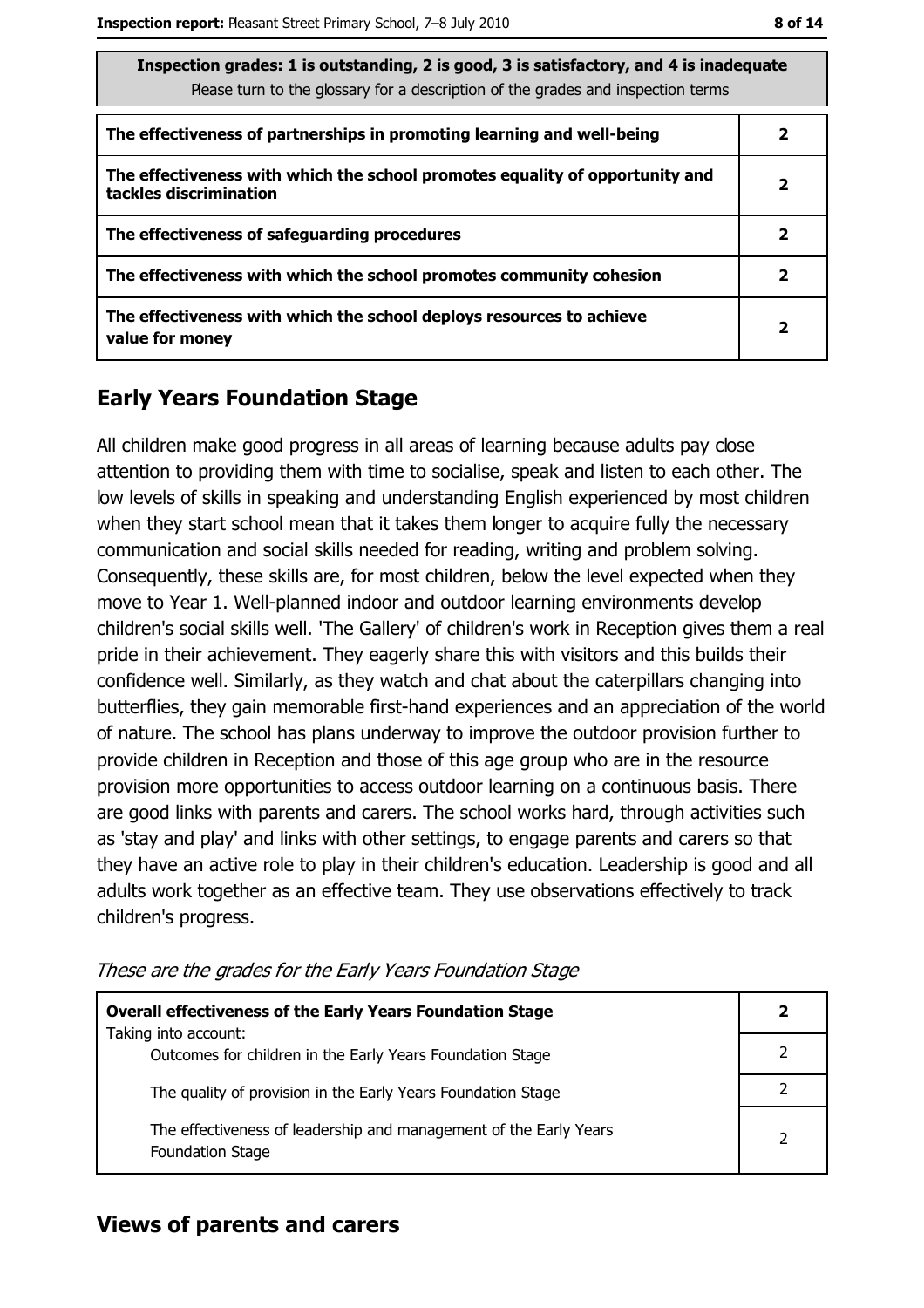| Inspection grades: 1 is outstanding, 2 is good, 3 is satisfactory, and 4 is inadequate<br>Please turn to the glossary for a description of the grades and inspection terms |                |  |  |
|----------------------------------------------------------------------------------------------------------------------------------------------------------------------------|----------------|--|--|
| The effectiveness of partnerships in promoting learning and well-being                                                                                                     | 2              |  |  |
| The effectiveness with which the school promotes equality of opportunity and<br>tackles discrimination                                                                     | 2              |  |  |
| The effectiveness of safeguarding procedures                                                                                                                               | 2              |  |  |
| The effectiveness with which the school promotes community cohesion                                                                                                        | 2              |  |  |
| The effectiveness with which the school deploys resources to achieve<br>value for money                                                                                    | $\overline{2}$ |  |  |

## **Early Years Foundation Stage**

All children make good progress in all areas of learning because adults pay close attention to providing them with time to socialise, speak and listen to each other. The low levels of skills in speaking and understanding English experienced by most children when they start school mean that it takes them longer to acquire fully the necessary communication and social skills needed for reading, writing and problem solving. Consequently, these skills are, for most children, below the level expected when they move to Year 1. Well-planned indoor and outdoor learning environments develop children's social skills well. 'The Gallery' of children's work in Reception gives them a real pride in their achievement. They eagerly share this with visitors and this builds their confidence well. Similarly, as they watch and chat about the caterpillars changing into butterflies, they gain memorable first-hand experiences and an appreciation of the world of nature. The school has plans underway to improve the outdoor provision further to provide children in Reception and those of this age group who are in the resource provision more opportunities to access outdoor learning on a continuous basis. There are good links with parents and carers. The school works hard, through activities such as 'stay and play' and links with other settings, to engage parents and carers so that they have an active role to play in their children's education. Leadership is good and all adults work together as an effective team. They use observations effectively to track children's progress.

| <b>Overall effectiveness of the Early Years Foundation Stage</b>                             |   |  |
|----------------------------------------------------------------------------------------------|---|--|
| Taking into account:<br>Outcomes for children in the Early Years Foundation Stage            |   |  |
| The quality of provision in the Early Years Foundation Stage                                 |   |  |
| The effectiveness of leadership and management of the Early Years<br><b>Foundation Stage</b> | 2 |  |

These are the grades for the Early Years Foundation Stage

## **Views of parents and carers**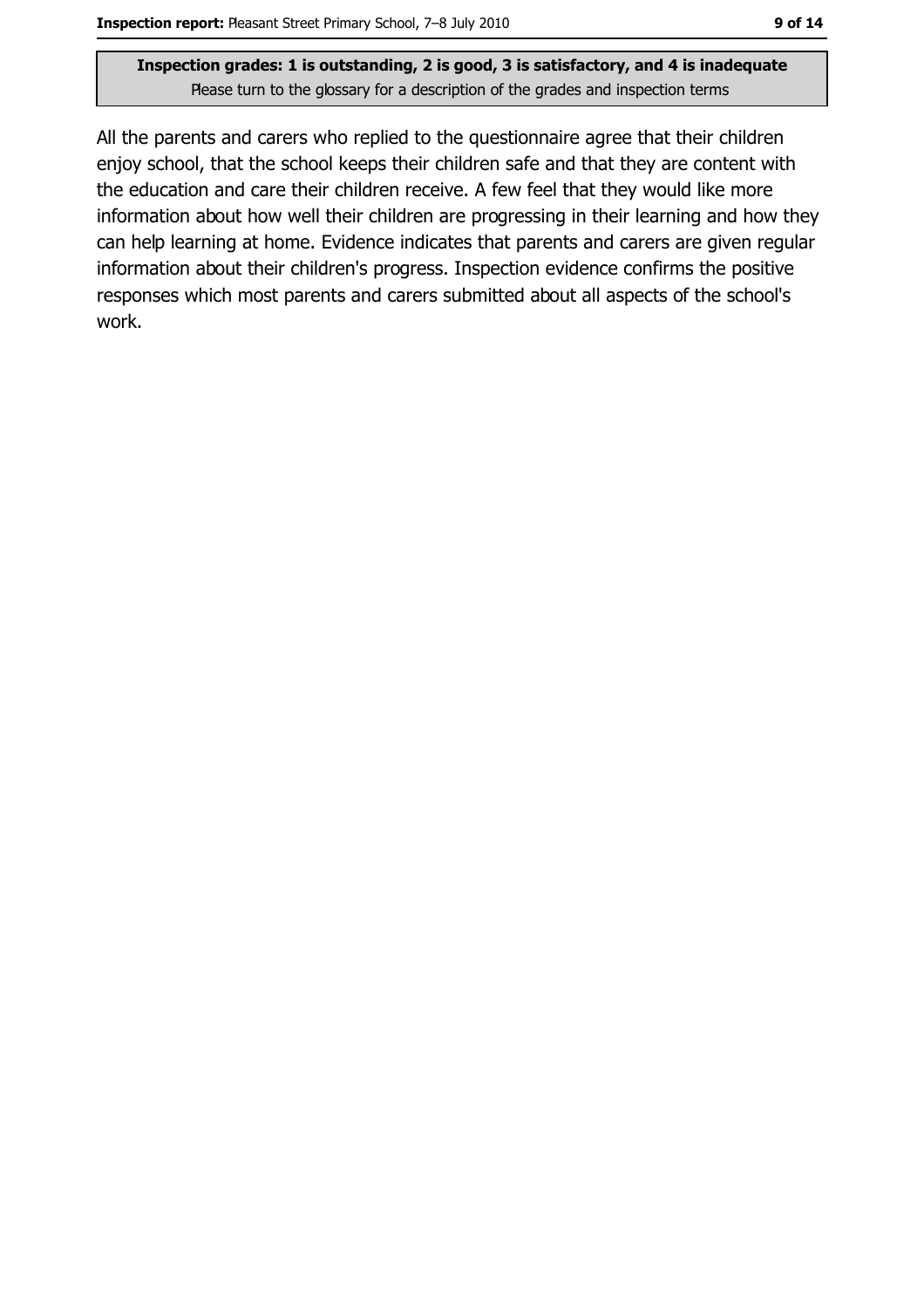All the parents and carers who replied to the questionnaire agree that their children enjoy school, that the school keeps their children safe and that they are content with the education and care their children receive. A few feel that they would like more information about how well their children are progressing in their learning and how they can help learning at home. Evidence indicates that parents and carers are given regular information about their children's progress. Inspection evidence confirms the positive responses which most parents and carers submitted about all aspects of the school's work.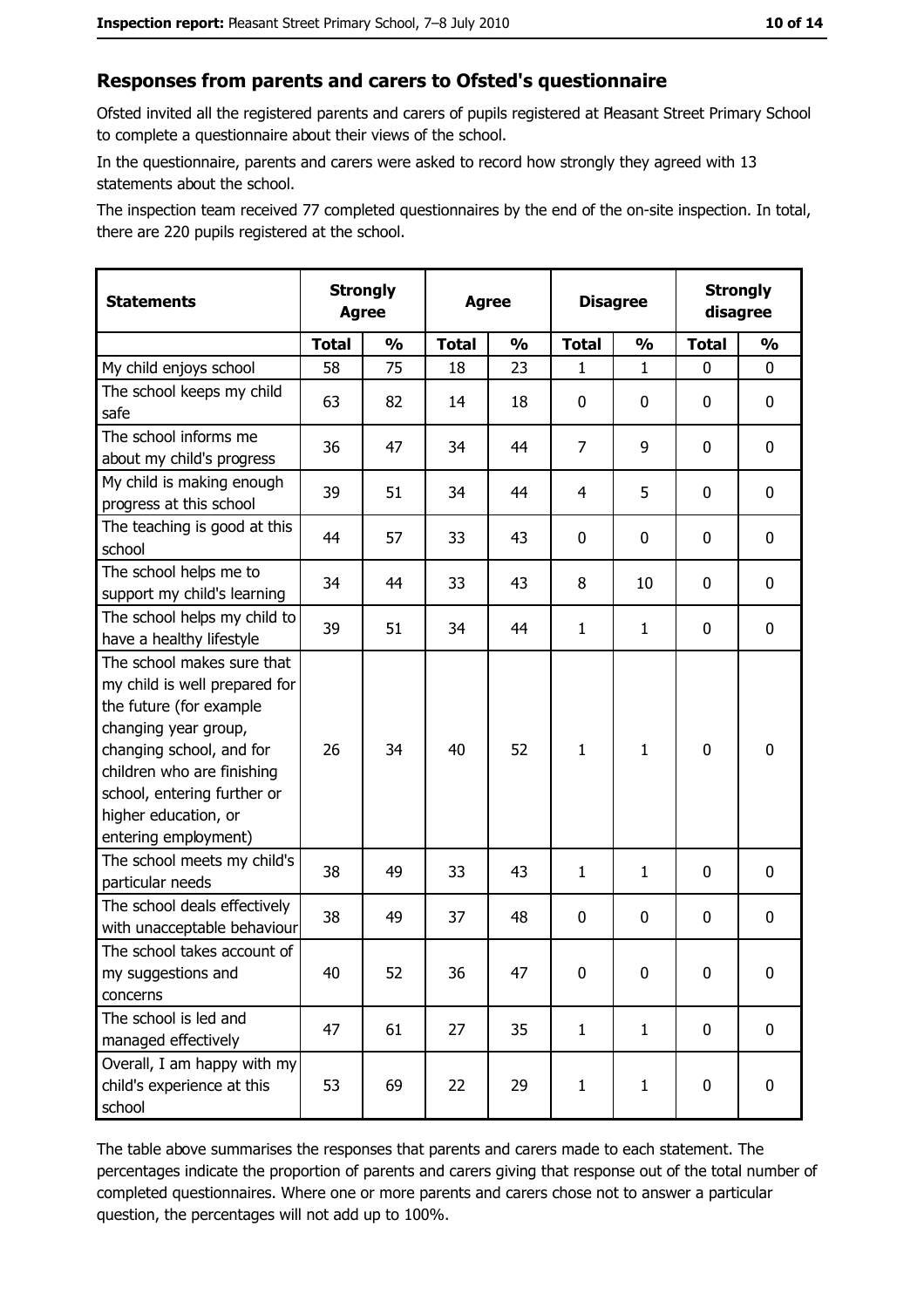#### Responses from parents and carers to Ofsted's questionnaire

Ofsted invited all the registered parents and carers of pupils registered at Pleasant Street Primary School to complete a questionnaire about their views of the school.

In the questionnaire, parents and carers were asked to record how strongly they agreed with 13 statements about the school.

The inspection team received 77 completed questionnaires by the end of the on-site inspection. In total, there are 220 pupils registered at the school.

| <b>Statements</b>                                                                                                                                                                                                                                       | <b>Strongly</b><br><b>Agree</b> |               |              | <b>Agree</b>  |                | <b>Disagree</b> |              | <b>Strongly</b><br>disagree |
|---------------------------------------------------------------------------------------------------------------------------------------------------------------------------------------------------------------------------------------------------------|---------------------------------|---------------|--------------|---------------|----------------|-----------------|--------------|-----------------------------|
|                                                                                                                                                                                                                                                         | <b>Total</b>                    | $\frac{1}{2}$ | <b>Total</b> | $\frac{1}{2}$ | <b>Total</b>   | $\frac{0}{0}$   | <b>Total</b> | $\frac{1}{2}$               |
| My child enjoys school                                                                                                                                                                                                                                  | 58                              | 75            | 18           | 23            | 1              | $\mathbf{1}$    | $\Omega$     | 0                           |
| The school keeps my child<br>safe                                                                                                                                                                                                                       | 63                              | 82            | 14           | 18            | 0              | 0               | 0            | 0                           |
| The school informs me<br>about my child's progress                                                                                                                                                                                                      | 36                              | 47            | 34           | 44            | $\overline{7}$ | 9               | 0            | $\mathbf 0$                 |
| My child is making enough<br>progress at this school                                                                                                                                                                                                    | 39                              | 51            | 34           | 44            | 4              | 5               | 0            | 0                           |
| The teaching is good at this<br>school                                                                                                                                                                                                                  | 44                              | 57            | 33           | 43            | 0              | 0               | 0            | 0                           |
| The school helps me to<br>support my child's learning                                                                                                                                                                                                   | 34                              | 44            | 33           | 43            | 8              | 10              | 0            | 0                           |
| The school helps my child to<br>have a healthy lifestyle                                                                                                                                                                                                | 39                              | 51            | 34           | 44            | $\mathbf{1}$   | $\mathbf{1}$    | 0            | 0                           |
| The school makes sure that<br>my child is well prepared for<br>the future (for example<br>changing year group,<br>changing school, and for<br>children who are finishing<br>school, entering further or<br>higher education, or<br>entering employment) | 26                              | 34            | 40           | 52            | $\mathbf{1}$   | 1               | $\mathbf 0$  | $\mathbf 0$                 |
| The school meets my child's<br>particular needs                                                                                                                                                                                                         | 38                              | 49            | 33           | 43            | $\mathbf{1}$   | $\mathbf{1}$    | 0            | 0                           |
| The school deals effectively<br>with unacceptable behaviour                                                                                                                                                                                             | 38                              | 49            | 37           | 48            | $\mathbf 0$    | 0               | 0            | $\mathbf 0$                 |
| The school takes account of<br>my suggestions and<br>concerns                                                                                                                                                                                           | 40                              | 52            | 36           | 47            | $\mathbf 0$    | 0               | 0            | 0                           |
| The school is led and<br>managed effectively                                                                                                                                                                                                            | 47                              | 61            | 27           | 35            | $\mathbf{1}$   | $\mathbf{1}$    | $\bf{0}$     | $\mathbf 0$                 |
| Overall, I am happy with my<br>child's experience at this<br>school                                                                                                                                                                                     | 53                              | 69            | 22           | 29            | $\mathbf{1}$   | $\mathbf{1}$    | $\mathbf 0$  | $\mathbf 0$                 |

The table above summarises the responses that parents and carers made to each statement. The percentages indicate the proportion of parents and carers giving that response out of the total number of completed questionnaires. Where one or more parents and carers chose not to answer a particular question, the percentages will not add up to 100%.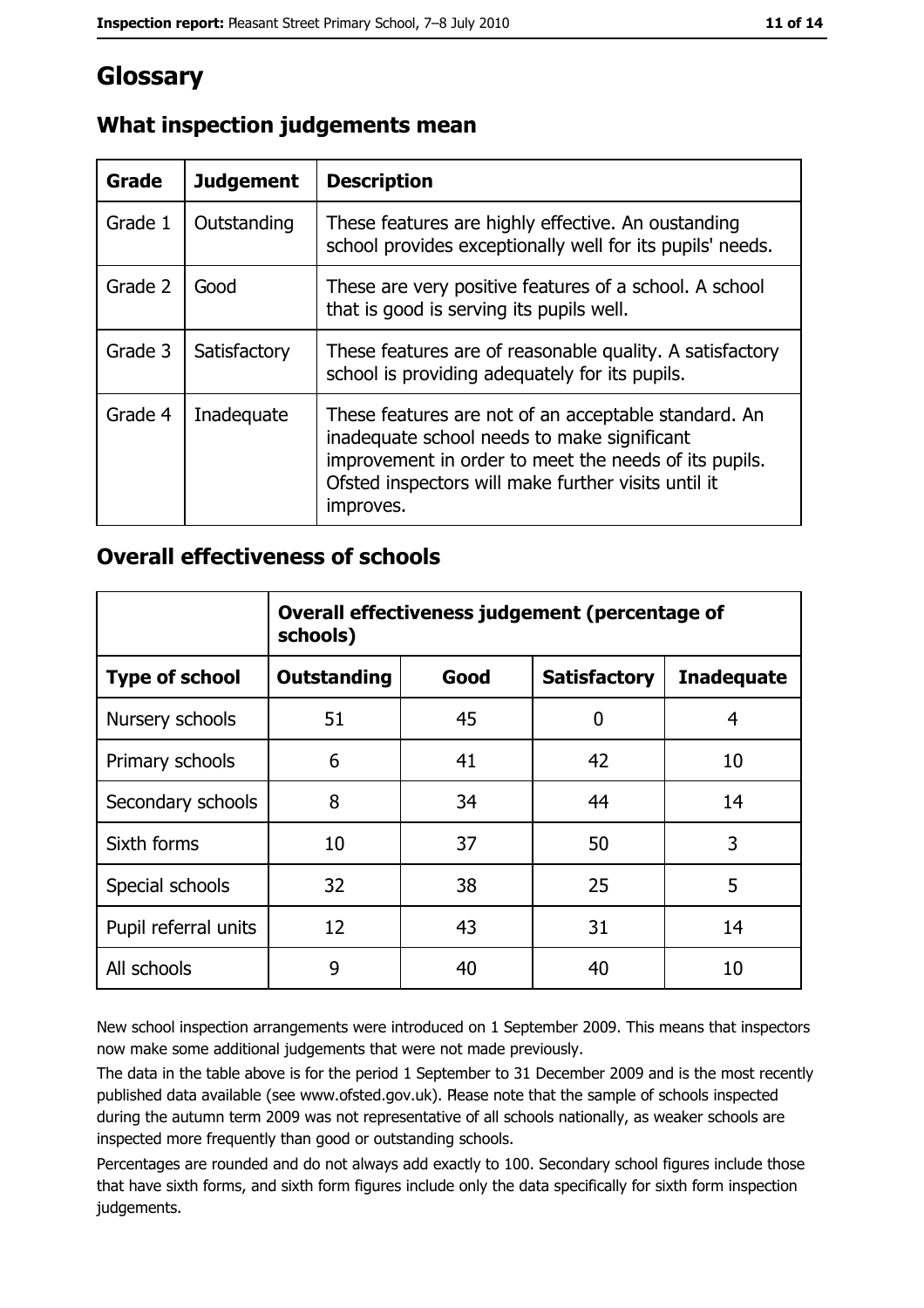# Glossary

| Grade   | <b>Judgement</b> | <b>Description</b>                                                                                                                                                                                                               |
|---------|------------------|----------------------------------------------------------------------------------------------------------------------------------------------------------------------------------------------------------------------------------|
| Grade 1 | Outstanding      | These features are highly effective. An oustanding<br>school provides exceptionally well for its pupils' needs.                                                                                                                  |
| Grade 2 | Good             | These are very positive features of a school. A school<br>that is good is serving its pupils well.                                                                                                                               |
| Grade 3 | Satisfactory     | These features are of reasonable quality. A satisfactory<br>school is providing adequately for its pupils.                                                                                                                       |
| Grade 4 | Inadequate       | These features are not of an acceptable standard. An<br>inadequate school needs to make significant<br>improvement in order to meet the needs of its pupils.<br>Ofsted inspectors will make further visits until it<br>improves. |

## What inspection judgements mean

#### **Overall effectiveness of schools**

|                       | Overall effectiveness judgement (percentage of<br>schools) |      |                     |                   |  |
|-----------------------|------------------------------------------------------------|------|---------------------|-------------------|--|
| <b>Type of school</b> | <b>Outstanding</b>                                         | Good | <b>Satisfactory</b> | <b>Inadequate</b> |  |
| Nursery schools       | 51                                                         | 45   | 0                   | 4                 |  |
| Primary schools       | 6                                                          | 41   | 42                  | 10                |  |
| Secondary schools     | 8                                                          | 34   | 44                  | 14                |  |
| Sixth forms           | 10                                                         | 37   | 50                  | 3                 |  |
| Special schools       | 32                                                         | 38   | 25                  | 5                 |  |
| Pupil referral units  | 12                                                         | 43   | 31                  | 14                |  |
| All schools           | 9                                                          | 40   | 40                  | 10                |  |

New school inspection arrangements were introduced on 1 September 2009. This means that inspectors now make some additional judgements that were not made previously.

The data in the table above is for the period 1 September to 31 December 2009 and is the most recently published data available (see www.ofsted.gov.uk). Please note that the sample of schools inspected during the autumn term 2009 was not representative of all schools nationally, as weaker schools are inspected more frequently than good or outstanding schools.

Percentages are rounded and do not always add exactly to 100. Secondary school figures include those that have sixth forms, and sixth form figures include only the data specifically for sixth form inspection judgements.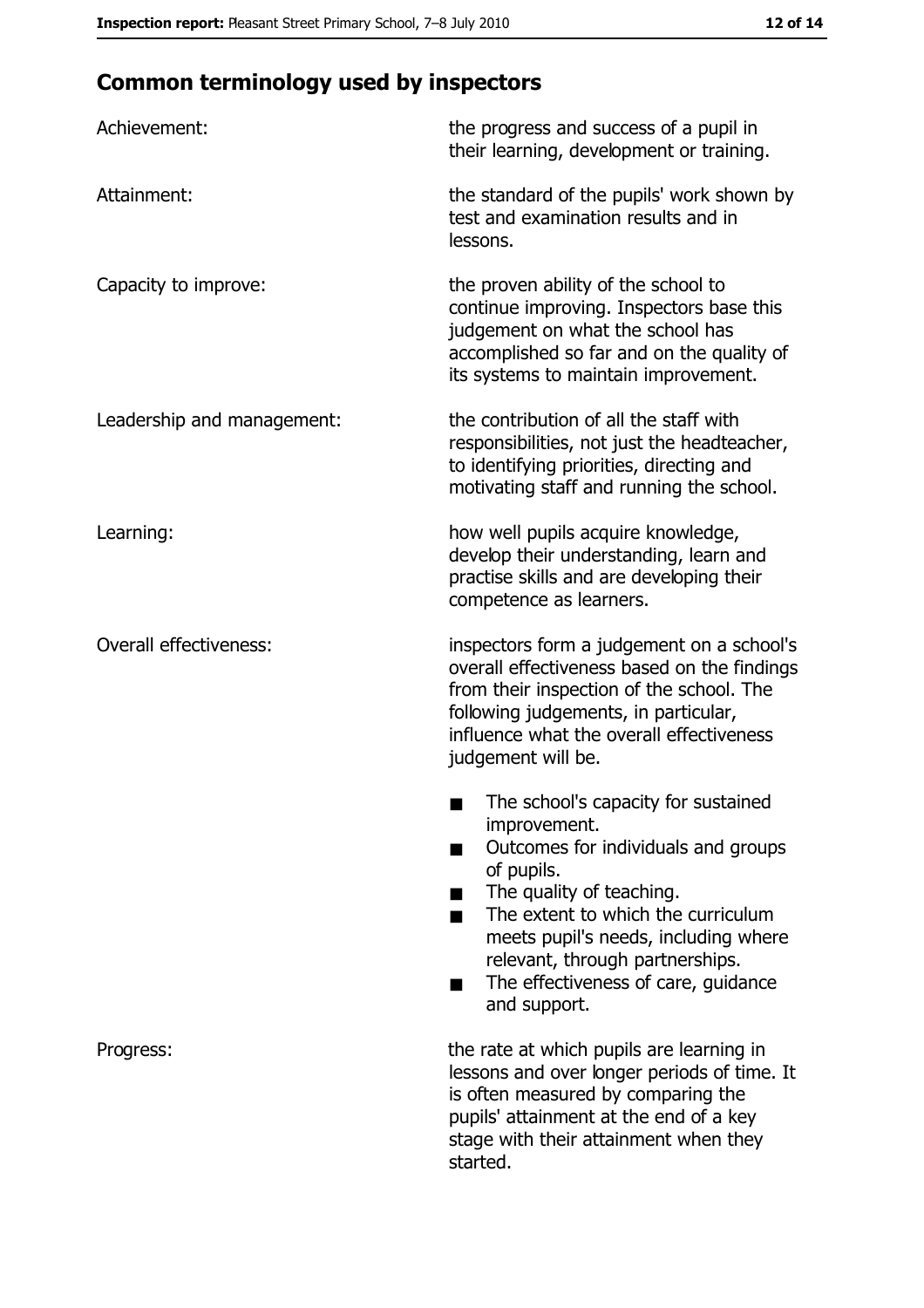# **Common terminology used by inspectors**

| Achievement:                  | the progress and success of a pupil in<br>their learning, development or training.                                                                                                                                                                                                                           |
|-------------------------------|--------------------------------------------------------------------------------------------------------------------------------------------------------------------------------------------------------------------------------------------------------------------------------------------------------------|
| Attainment:                   | the standard of the pupils' work shown by<br>test and examination results and in<br>lessons.                                                                                                                                                                                                                 |
| Capacity to improve:          | the proven ability of the school to<br>continue improving. Inspectors base this<br>judgement on what the school has<br>accomplished so far and on the quality of<br>its systems to maintain improvement.                                                                                                     |
| Leadership and management:    | the contribution of all the staff with<br>responsibilities, not just the headteacher,<br>to identifying priorities, directing and<br>motivating staff and running the school.                                                                                                                                |
| Learning:                     | how well pupils acquire knowledge,<br>develop their understanding, learn and<br>practise skills and are developing their<br>competence as learners.                                                                                                                                                          |
| <b>Overall effectiveness:</b> | inspectors form a judgement on a school's<br>overall effectiveness based on the findings<br>from their inspection of the school. The<br>following judgements, in particular,<br>influence what the overall effectiveness<br>judgement will be.                                                               |
|                               | The school's capacity for sustained<br>improvement.<br>Outcomes for individuals and groups<br>of pupils.<br>The quality of teaching.<br>The extent to which the curriculum<br>meets pupil's needs, including where<br>relevant, through partnerships.<br>The effectiveness of care, guidance<br>and support. |
| Progress:                     | the rate at which pupils are learning in<br>lessons and over longer periods of time. It<br>is often measured by comparing the<br>pupils' attainment at the end of a key<br>stage with their attainment when they<br>started.                                                                                 |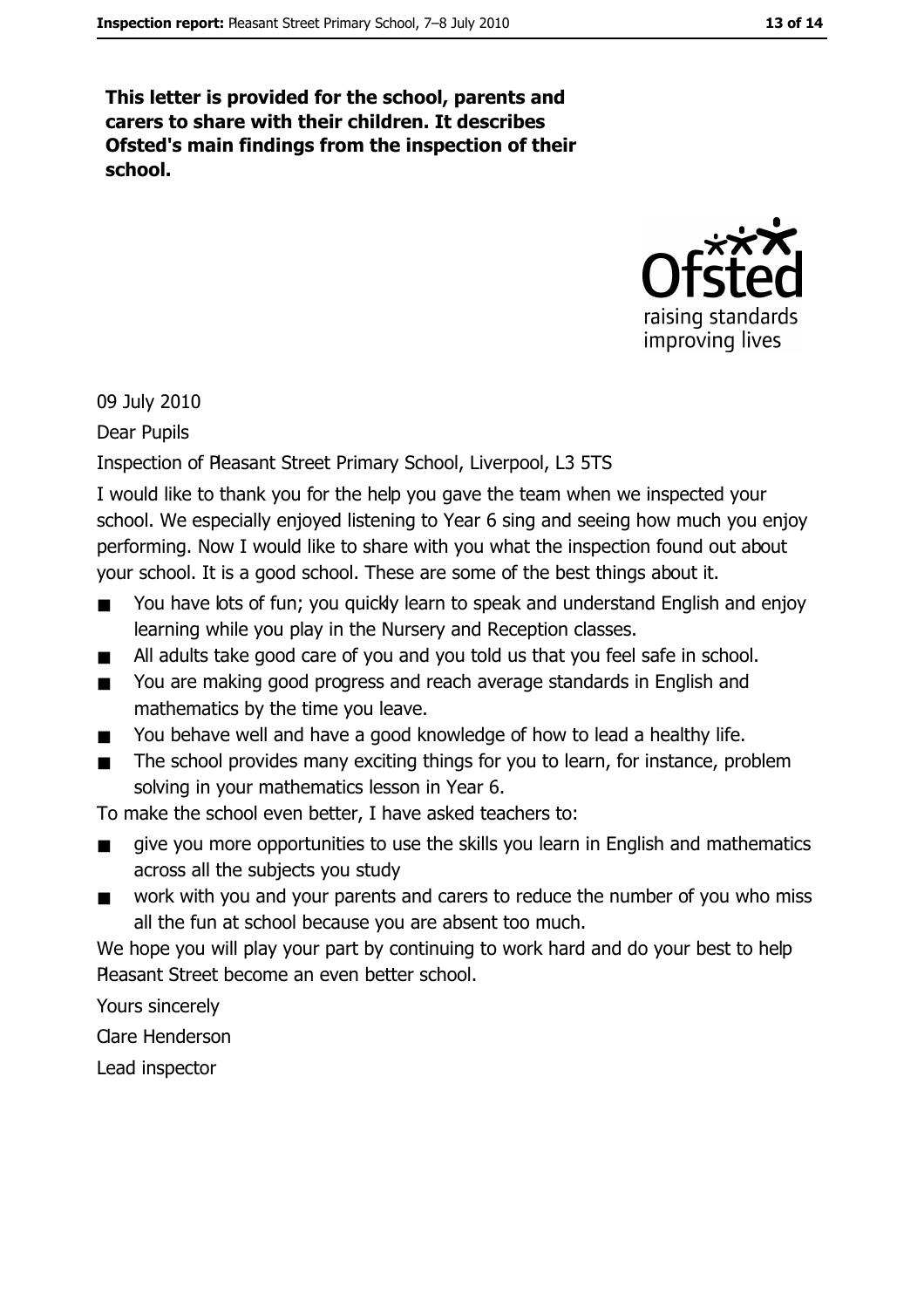This letter is provided for the school, parents and carers to share with their children. It describes Ofsted's main findings from the inspection of their school.



09 July 2010

Dear Pupils

#### Inspection of Pleasant Street Primary School, Liverpool, L3 5TS

I would like to thank you for the help you gave the team when we inspected your school. We especially enjoyed listening to Year 6 sing and seeing how much you enjoy performing. Now I would like to share with you what the inspection found out about your school. It is a good school. These are some of the best things about it.

- You have lots of fun; you quickly learn to speak and understand English and enjoy  $\blacksquare$ learning while you play in the Nursery and Reception classes.
- All adults take good care of you and you told us that you feel safe in school.  $\blacksquare$
- You are making good progress and reach average standards in English and  $\blacksquare$ mathematics by the time you leave.
- You behave well and have a good knowledge of how to lead a healthy life.  $\blacksquare$
- The school provides many exciting things for you to learn, for instance, problem  $\blacksquare$ solving in your mathematics lesson in Year 6.

To make the school even better, I have asked teachers to:

- give you more opportunities to use the skills you learn in English and mathematics  $\blacksquare$ across all the subjects you study
- work with you and your parents and carers to reduce the number of you who miss  $\blacksquare$ all the fun at school because you are absent too much.

We hope you will play your part by continuing to work hard and do your best to help Pleasant Street become an even better school.

Yours sincerely

**Clare Henderson** 

Lead inspector